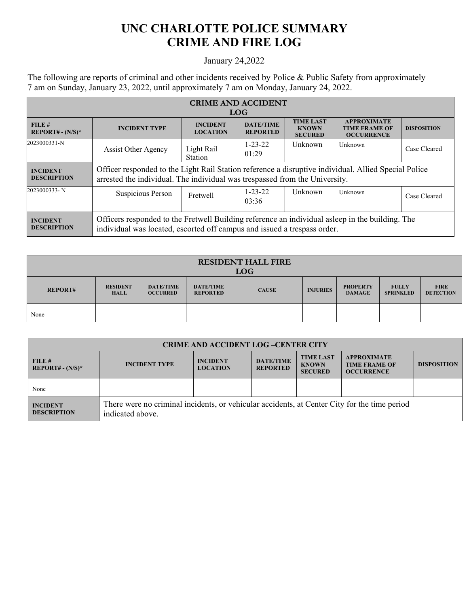## **UNC CHARLOTTE POLICE SUMMARY CRIME AND FIRE LOG**

## January 24,2022

The following are reports of criminal and other incidents received by Police & Public Safety from approximately 7 am on Sunday, January 23, 2022, until approximately 7 am on Monday, January 24, 2022.

| <b>CRIME AND ACCIDENT</b>             |                                                                                                                                                                                     |                                    |                                     |                                                    |                                                                 |                    |  |  |
|---------------------------------------|-------------------------------------------------------------------------------------------------------------------------------------------------------------------------------------|------------------------------------|-------------------------------------|----------------------------------------------------|-----------------------------------------------------------------|--------------------|--|--|
| <b>LOG</b>                            |                                                                                                                                                                                     |                                    |                                     |                                                    |                                                                 |                    |  |  |
| FILE#<br>REPORT# - $(N/S)^*$          | <b>INCIDENT TYPE</b>                                                                                                                                                                | <b>INCIDENT</b><br><b>LOCATION</b> | <b>DATE/TIME</b><br><b>REPORTED</b> | <b>TIME LAST</b><br><b>KNOWN</b><br><b>SECURED</b> | <b>APPROXIMATE</b><br><b>TIME FRAME OF</b><br><b>OCCURRENCE</b> | <b>DISPOSITION</b> |  |  |
| 2023000331-N                          | <b>Assist Other Agency</b>                                                                                                                                                          | Light Rail<br>Station              | $1 - 23 - 22$<br>01:29              | <b>Unknown</b>                                     | Unknown                                                         | Case Cleared       |  |  |
| <b>INCIDENT</b><br><b>DESCRIPTION</b> | Officer responded to the Light Rail Station reference a disruptive individual. Allied Special Police<br>arrested the individual. The individual was trespassed from the University. |                                    |                                     |                                                    |                                                                 |                    |  |  |
| 2023000333-N                          | Suspicious Person                                                                                                                                                                   | Fretwell                           | $1 - 23 - 22$<br>03:36              | Unknown                                            | Unknown                                                         | Case Cleared       |  |  |
| <b>INCIDENT</b><br><b>DESCRIPTION</b> | Officers responded to the Fretwell Building reference an individual asleep in the building. The<br>individual was located, escorted off campus and issued a trespass order.         |                                    |                                     |                                                    |                                                                 |                    |  |  |

| <b>RESIDENT HALL FIRE</b><br><b>LOG</b> |                                |                                     |                                     |              |                 |                                  |                                  |                                 |
|-----------------------------------------|--------------------------------|-------------------------------------|-------------------------------------|--------------|-----------------|----------------------------------|----------------------------------|---------------------------------|
| <b>REPORT#</b>                          | <b>RESIDENT</b><br><b>HALL</b> | <b>DATE/TIME</b><br><b>OCCURRED</b> | <b>DATE/TIME</b><br><b>REPORTED</b> | <b>CAUSE</b> | <b>INJURIES</b> | <b>PROPERTY</b><br><b>DAMAGE</b> | <b>FULLY</b><br><b>SPRINKLED</b> | <b>FIRE</b><br><b>DETECTION</b> |
| None                                    |                                |                                     |                                     |              |                 |                                  |                                  |                                 |

| <b>CRIME AND ACCIDENT LOG-CENTER CITY</b> |                                                                                                                  |                                    |                                     |                                                    |                                                                 |                    |  |
|-------------------------------------------|------------------------------------------------------------------------------------------------------------------|------------------------------------|-------------------------------------|----------------------------------------------------|-----------------------------------------------------------------|--------------------|--|
| FILE#<br>$REPORT# - (N/S)*$               | <b>INCIDENT TYPE</b>                                                                                             | <b>INCIDENT</b><br><b>LOCATION</b> | <b>DATE/TIME</b><br><b>REPORTED</b> | <b>TIME LAST</b><br><b>KNOWN</b><br><b>SECURED</b> | <b>APPROXIMATE</b><br><b>TIME FRAME OF</b><br><b>OCCURRENCE</b> | <b>DISPOSITION</b> |  |
| None                                      |                                                                                                                  |                                    |                                     |                                                    |                                                                 |                    |  |
| <b>INCIDENT</b><br><b>DESCRIPTION</b>     | There were no criminal incidents, or vehicular accidents, at Center City for the time period<br>indicated above. |                                    |                                     |                                                    |                                                                 |                    |  |